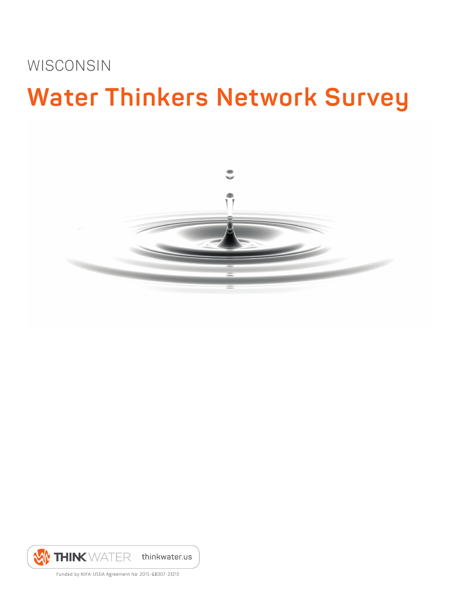WISCONSIN

## **Water Thinkers Network Survey**





Funded by NIFA-USDA Agreement No. 2015-68007-23213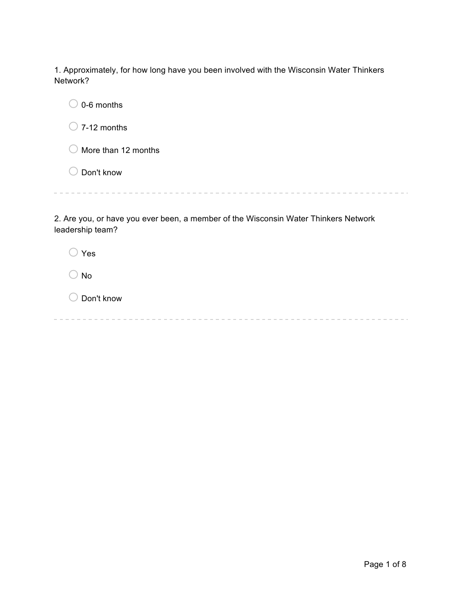1. Approximately, for how long have you been involved with the Wisconsin Water Thinkers Network?

 $\bigcirc$  0-6 months  $\bigcirc$  7-12 months  $\bigcirc$  More than 12 months  $\bigcirc$  Don't know 

2. Are you, or have you ever been, a member of the Wisconsin Water Thinkers Network leadership team?

 $\bigcirc$  Yes

 $\bigcirc$  No

 $\bigcirc$  Don't know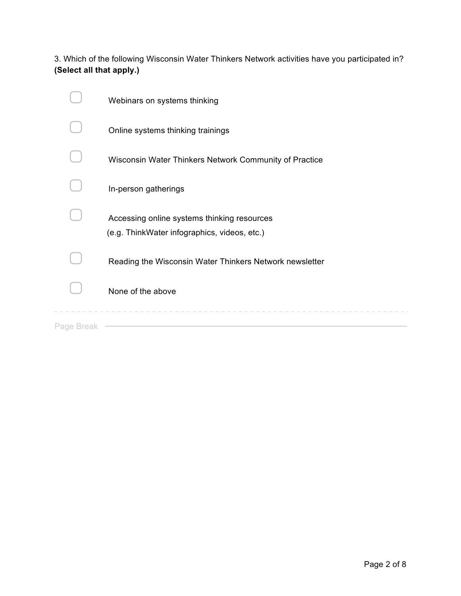3. Which of the following Wisconsin Water Thinkers Network activities have you participated in? **(Select all that apply.)**

|            | Webinars on systems thinking                                                                |
|------------|---------------------------------------------------------------------------------------------|
|            | Online systems thinking trainings                                                           |
|            | Wisconsin Water Thinkers Network Community of Practice                                      |
|            | In-person gatherings                                                                        |
|            | Accessing online systems thinking resources<br>(e.g. ThinkWater infographics, videos, etc.) |
|            | Reading the Wisconsin Water Thinkers Network newsletter                                     |
|            | None of the above                                                                           |
| Page Breal |                                                                                             |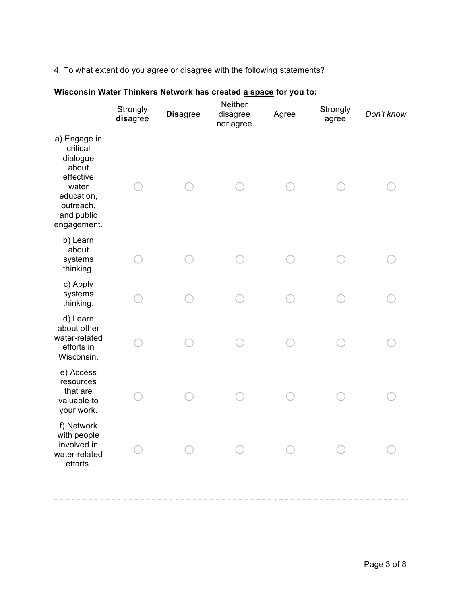4. To what extent do you agree or disagree with the following statements?

|                                                                                                                             | Strongly<br>disagree | <b>Disagree</b> | <b>Neither</b><br>disagree<br>nor agree | Agree | Strongly<br>agree | Don't know |
|-----------------------------------------------------------------------------------------------------------------------------|----------------------|-----------------|-----------------------------------------|-------|-------------------|------------|
| a) Engage in<br>critical<br>dialogue<br>about<br>effective<br>water<br>education,<br>outreach,<br>and public<br>engagement. |                      |                 |                                         |       |                   |            |
| b) Learn<br>about<br>systems<br>thinking.                                                                                   |                      |                 |                                         |       |                   |            |
| c) Apply<br>systems<br>thinking.                                                                                            |                      |                 |                                         |       |                   |            |
| d) Learn<br>about other<br>water-related<br>efforts in<br>Wisconsin.                                                        |                      |                 |                                         |       |                   |            |
| e) Access<br>resources<br>that are<br>valuable to<br>your work.                                                             |                      |                 |                                         |       |                   |            |
| f) Network<br>with people<br>involved in<br>water-related<br>efforts.                                                       |                      |                 |                                         |       |                   |            |

## **Wisconsin Water Thinkers Network has created a space for you to:**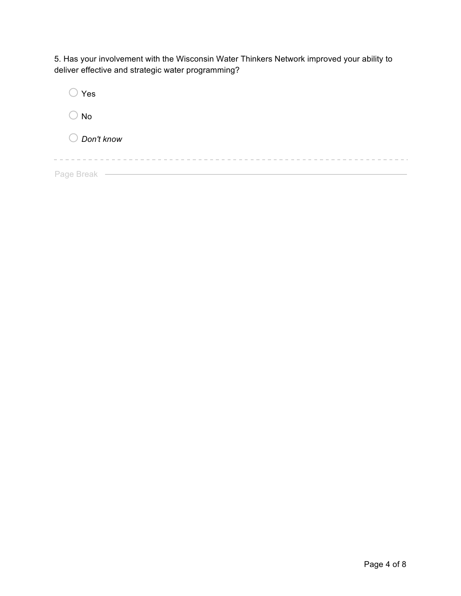5. Has your involvement with the Wisconsin Water Thinkers Network improved your ability to deliver effective and strategic water programming?

| $\supset$ Yes         |
|-----------------------|
| $\supset$ No          |
| $\bigcirc$ Don't know |
|                       |
| Page Break            |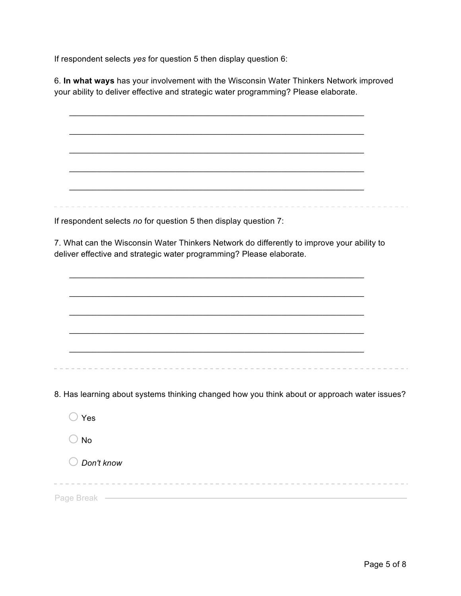If respondent selects *yes* for question 5 then display question 6:

6. **In what ways** has your involvement with the Wisconsin Water Thinkers Network improved your ability to deliver effective and strategic water programming? Please elaborate.

\_\_\_\_\_\_\_\_\_\_\_\_\_\_\_\_\_\_\_\_\_\_\_\_\_\_\_\_\_\_\_\_\_\_\_\_\_\_\_\_\_\_\_\_\_\_\_\_\_\_\_\_\_\_\_\_\_\_\_\_\_\_\_\_

\_\_\_\_\_\_\_\_\_\_\_\_\_\_\_\_\_\_\_\_\_\_\_\_\_\_\_\_\_\_\_\_\_\_\_\_\_\_\_\_\_\_\_\_\_\_\_\_\_\_\_\_\_\_\_\_\_\_\_\_\_\_\_\_

\_\_\_\_\_\_\_\_\_\_\_\_\_\_\_\_\_\_\_\_\_\_\_\_\_\_\_\_\_\_\_\_\_\_\_\_\_\_\_\_\_\_\_\_\_\_\_\_\_\_\_\_\_\_\_\_\_\_\_\_\_\_\_\_

\_\_\_\_\_\_\_\_\_\_\_\_\_\_\_\_\_\_\_\_\_\_\_\_\_\_\_\_\_\_\_\_\_\_\_\_\_\_\_\_\_\_\_\_\_\_\_\_\_\_\_\_\_\_\_\_\_\_\_\_\_\_\_\_

\_\_\_\_\_\_\_\_\_\_\_\_\_\_\_\_\_\_\_\_\_\_\_\_\_\_\_\_\_\_\_\_\_\_\_\_\_\_\_\_\_\_\_\_\_\_\_\_\_\_\_\_\_\_\_\_\_\_\_\_\_\_\_\_

If respondent selects *no* for question 5 then display question 7:

7. What can the Wisconsin Water Thinkers Network do differently to improve your ability to deliver effective and strategic water programming? Please elaborate.

\_\_\_\_\_\_\_\_\_\_\_\_\_\_\_\_\_\_\_\_\_\_\_\_\_\_\_\_\_\_\_\_\_\_\_\_\_\_\_\_\_\_\_\_\_\_\_\_\_\_\_\_\_\_\_\_\_\_\_\_\_\_\_\_

\_\_\_\_\_\_\_\_\_\_\_\_\_\_\_\_\_\_\_\_\_\_\_\_\_\_\_\_\_\_\_\_\_\_\_\_\_\_\_\_\_\_\_\_\_\_\_\_\_\_\_\_\_\_\_\_\_\_\_\_\_\_\_\_

\_\_\_\_\_\_\_\_\_\_\_\_\_\_\_\_\_\_\_\_\_\_\_\_\_\_\_\_\_\_\_\_\_\_\_\_\_\_\_\_\_\_\_\_\_\_\_\_\_\_\_\_\_\_\_\_\_\_\_\_\_\_\_\_

\_\_\_\_\_\_\_\_\_\_\_\_\_\_\_\_\_\_\_\_\_\_\_\_\_\_\_\_\_\_\_\_\_\_\_\_\_\_\_\_\_\_\_\_\_\_\_\_\_\_\_\_\_\_\_\_\_\_\_\_\_\_\_\_

\_\_\_\_\_\_\_\_\_\_\_\_\_\_\_\_\_\_\_\_\_\_\_\_\_\_\_\_\_\_\_\_\_\_\_\_\_\_\_\_\_\_\_\_\_\_\_\_\_\_\_\_\_\_\_\_\_\_\_\_\_\_\_\_

8. Has learning about systems thinking changed how you think about or approach water issues?

 $\bigcirc$  Yes  $\bigcirc$  No o *Don't know* Page Break ——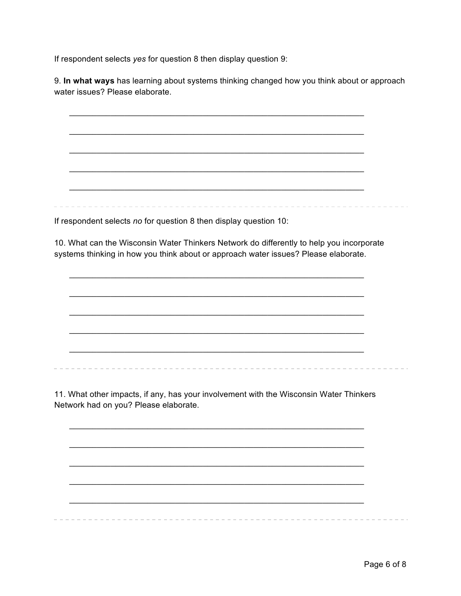If respondent selects *yes* for question 8 then display question 9:

9. **In what ways** has learning about systems thinking changed how you think about or approach water issues? Please elaborate.

\_\_\_\_\_\_\_\_\_\_\_\_\_\_\_\_\_\_\_\_\_\_\_\_\_\_\_\_\_\_\_\_\_\_\_\_\_\_\_\_\_\_\_\_\_\_\_\_\_\_\_\_\_\_\_\_\_\_\_\_\_\_\_\_

\_\_\_\_\_\_\_\_\_\_\_\_\_\_\_\_\_\_\_\_\_\_\_\_\_\_\_\_\_\_\_\_\_\_\_\_\_\_\_\_\_\_\_\_\_\_\_\_\_\_\_\_\_\_\_\_\_\_\_\_\_\_\_\_

\_\_\_\_\_\_\_\_\_\_\_\_\_\_\_\_\_\_\_\_\_\_\_\_\_\_\_\_\_\_\_\_\_\_\_\_\_\_\_\_\_\_\_\_\_\_\_\_\_\_\_\_\_\_\_\_\_\_\_\_\_\_\_\_

\_\_\_\_\_\_\_\_\_\_\_\_\_\_\_\_\_\_\_\_\_\_\_\_\_\_\_\_\_\_\_\_\_\_\_\_\_\_\_\_\_\_\_\_\_\_\_\_\_\_\_\_\_\_\_\_\_\_\_\_\_\_\_\_

\_\_\_\_\_\_\_\_\_\_\_\_\_\_\_\_\_\_\_\_\_\_\_\_\_\_\_\_\_\_\_\_\_\_\_\_\_\_\_\_\_\_\_\_\_\_\_\_\_\_\_\_\_\_\_\_\_\_\_\_\_\_\_\_

If respondent selects *no* for question 8 then display question 10:

10. What can the Wisconsin Water Thinkers Network do differently to help you incorporate systems thinking in how you think about or approach water issues? Please elaborate.

\_\_\_\_\_\_\_\_\_\_\_\_\_\_\_\_\_\_\_\_\_\_\_\_\_\_\_\_\_\_\_\_\_\_\_\_\_\_\_\_\_\_\_\_\_\_\_\_\_\_\_\_\_\_\_\_\_\_\_\_\_\_\_\_

\_\_\_\_\_\_\_\_\_\_\_\_\_\_\_\_\_\_\_\_\_\_\_\_\_\_\_\_\_\_\_\_\_\_\_\_\_\_\_\_\_\_\_\_\_\_\_\_\_\_\_\_\_\_\_\_\_\_\_\_\_\_\_\_

\_\_\_\_\_\_\_\_\_\_\_\_\_\_\_\_\_\_\_\_\_\_\_\_\_\_\_\_\_\_\_\_\_\_\_\_\_\_\_\_\_\_\_\_\_\_\_\_\_\_\_\_\_\_\_\_\_\_\_\_\_\_\_\_

\_\_\_\_\_\_\_\_\_\_\_\_\_\_\_\_\_\_\_\_\_\_\_\_\_\_\_\_\_\_\_\_\_\_\_\_\_\_\_\_\_\_\_\_\_\_\_\_\_\_\_\_\_\_\_\_\_\_\_\_\_\_\_\_

\_\_\_\_\_\_\_\_\_\_\_\_\_\_\_\_\_\_\_\_\_\_\_\_\_\_\_\_\_\_\_\_\_\_\_\_\_\_\_\_\_\_\_\_\_\_\_\_\_\_\_\_\_\_\_\_\_\_\_\_\_\_\_\_

11. What other impacts, if any, has your involvement with the Wisconsin Water Thinkers Network had on you? Please elaborate.

\_\_\_\_\_\_\_\_\_\_\_\_\_\_\_\_\_\_\_\_\_\_\_\_\_\_\_\_\_\_\_\_\_\_\_\_\_\_\_\_\_\_\_\_\_\_\_\_\_\_\_\_\_\_\_\_\_\_\_\_\_\_\_\_

\_\_\_\_\_\_\_\_\_\_\_\_\_\_\_\_\_\_\_\_\_\_\_\_\_\_\_\_\_\_\_\_\_\_\_\_\_\_\_\_\_\_\_\_\_\_\_\_\_\_\_\_\_\_\_\_\_\_\_\_\_\_\_\_

\_\_\_\_\_\_\_\_\_\_\_\_\_\_\_\_\_\_\_\_\_\_\_\_\_\_\_\_\_\_\_\_\_\_\_\_\_\_\_\_\_\_\_\_\_\_\_\_\_\_\_\_\_\_\_\_\_\_\_\_\_\_\_\_

\_\_\_\_\_\_\_\_\_\_\_\_\_\_\_\_\_\_\_\_\_\_\_\_\_\_\_\_\_\_\_\_\_\_\_\_\_\_\_\_\_\_\_\_\_\_\_\_\_\_\_\_\_\_\_\_\_\_\_\_\_\_\_\_

\_\_\_\_\_\_\_\_\_\_\_\_\_\_\_\_\_\_\_\_\_\_\_\_\_\_\_\_\_\_\_\_\_\_\_\_\_\_\_\_\_\_\_\_\_\_\_\_\_\_\_\_\_\_\_\_\_\_\_\_\_\_\_\_